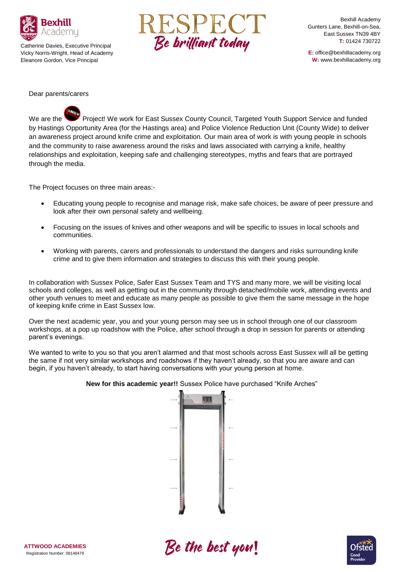

Catherine Davies, Executive Principal Vicky Norris-Wright, Head of Academy Eleanore Gordon, Vice Principal



Bexhill Academy Gunters Lane, Bexhill-on-Sea, East Sussex TN39 4BY **T:** 01424 730722

**E:** office@bexhillacademy.org **W:** www.bexhillacademy.org

Dear parents/carers

We are the Project! We work for East Sussex County Council, Targeted Youth Support Service and funded by Hastings Opportunity Area (for the Hastings area) and Police Violence Reduction Unit (County Wide) to deliver an awareness project around knife crime and exploitation. Our main area of work is with young people in schools and the community to raise awareness around the risks and laws associated with carrying a knife, healthy relationships and exploitation, keeping safe and challenging stereotypes, myths and fears that are portrayed through the media.

The Project focuses on three main areas:-

- Educating young people to recognise and manage risk, make safe choices, be aware of peer pressure and look after their own personal safety and wellbeing.
- Focusing on the issues of knives and other weapons and will be specific to issues in local schools and communities.
- Working with parents, carers and professionals to understand the dangers and risks surrounding knife crime and to give them information and strategies to discuss this with their young people.

In collaboration with Sussex Police, Safer East Sussex Team and TYS and many more, we will be visiting local schools and colleges, as well as getting out in the community through detached/mobile work, attending events and other youth venues to meet and educate as many people as possible to give them the same message in the hope of keeping knife crime in East Sussex low.

Over the next academic year, you and your young person may see us in school through one of our classroom workshops, at a pop up roadshow with the Police, after school through a drop in session for parents or attending parent's evenings.

We wanted to write to you so that you aren't alarmed and that most schools across East Sussex will all be getting the same if not very similar workshops and roadshows if they haven't already, so that you are aware and can begin, if you haven't already, to start having conversations with your young person at home.



**New for this academic year!!** Sussex Police have purchased "Knife Arches"